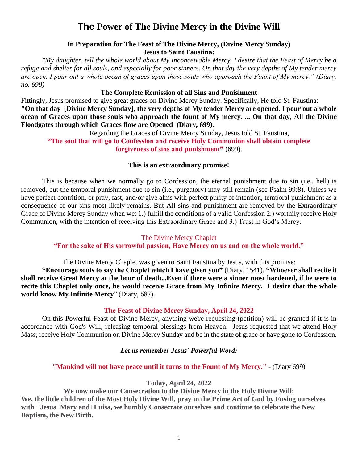# **The Power of The Divine Mercy in the Divine Will**

## **In Preparation for The Feast of The Divine Mercy, (Divine Mercy Sunday) Jesus to Saint Faustina:**

*"My daughter, tell the whole world about My Inconceivable Mercy. I desire that the Feast of Mercy be a refuge and shelter for all souls, and especially for poor sinners. On that day the very depths of My tender mercy are open. I pour out a whole ocean of graces upon those souls who approach the Fount of My mercy." (Diary, no. 699)*

#### **The Complete Remission of all Sins and Punishment**

Fittingly, Jesus promised to give great graces on Divine Mercy Sunday. Specifically, He told St. Faustina: **"On that day [Divine Mercy Sunday], the very depths of My tender Mercy are opened. I pour out a whole ocean of Graces upon those souls who approach the fount of My mercy. ... On that day, All the Divine Floodgates through which Graces flow are Opened (Diary, 699).**

Regarding the Graces of Divine Mercy Sunday, Jesus told St. Faustina,

**"The soul that will go to Confession and receive Holy Communion shall obtain complete forgiveness of sins and punishment"** (699).

## **This is an extraordinary promise!**

This is because when we normally go to Confession, the eternal punishment due to sin (i.e., hell) is removed, but the temporal punishment due to sin (i.e., purgatory) may still remain (see Psalm 99:8). Unless we have perfect contrition, or pray, fast, and/or give alms with perfect purity of intention, temporal punishment as a consequence of our sins most likely remains. But All sins and punishment are removed by the Extraordinary Grace of Divine Mercy Sunday when we: 1.) fulfill the conditions of a valid Confession 2.) worthily receive Holy Communion, with the intention of receiving this Extraordinary Grace and 3.) Trust in God's Mercy.

#### The Divine Mercy Chaplet

## **"For the sake of His sorrowful passion, Have Mercy on us and on the whole world."**

The Divine Mercy Chaplet was given to Saint Faustina by Jesus, with this promise:

**"Encourage souls to say the Chaplet which I have given you"** (Diary, 1541). **"Whoever shall recite it shall receive Great Mercy at the hour of death...Even if there were a sinner most hardened, if he were to recite this Chaplet only once, he would receive Grace from My Infinite Mercy. I desire that the whole world know My Infinite Mercy**" (Diary, 687).

## **The Feast of Divine Mercy Sunday, April 24, 2022**

On this Powerful Feast of Divine Mercy, anything we're requesting (petition) will be granted if it is in accordance with God's Will, releasing temporal blessings from Heaven. Jesus requested that we attend Holy Mass, receive Holy Communion on Divine Mercy Sunday and be in the state of grace or have gone to Confession.

#### *Let us remember Jesus' Powerful Word:*

## **"Mankind will not have peace until it turns to the Fount of My Mercy."** - (Diary 699)

#### **Today, April 24, 2022**

**We now make our Consecration to the Divine Mercy in the Holy Divine Will: We, the little children of the Most Holy Divine Will, pray in the Prime Act of God by Fusing ourselves with +Jesus+Mary and+Luisa, we humbly Consecrate ourselves and continue to celebrate the New Baptism, the New Birth.**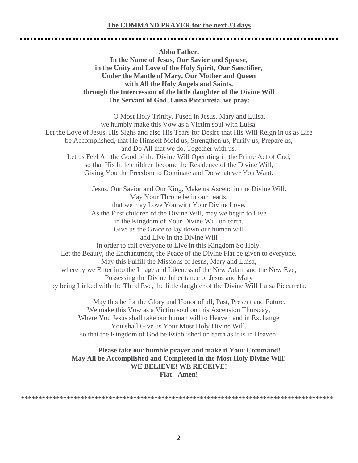#### **The COMMAND PRAYER for the next 33 days**

**Abba Father, In the Name of Jesus, Our Savior and Spouse, in the Unity and Love of the Holy Spirit, Our Sanctifier, Under the Mantle of Mary, Our Mother and Queen with All the Holy Angels and Saints, through the Intercession of the little daughter of the Divine Will The Servant of God, Luisa Piccarreta, we pray:**

O Most Holy Trinity, Fused in Jesus, Mary and Luisa, we humbly make this Vow as a Victim soul with Luisa. Let the Love of Jesus, His Sighs and also His Tears for Desire that His Will Reign in us as Life be Accomplished, that He Himself Mold us, Strengthen us, Purify us, Prepare us, and Do All that we do, Together with us. Let us Feel All the Good of the Divine Will Operating in the Prime Act of God, so that His little children become the Residence of the Divine Will, Giving You the Freedom to Dominate and Do whatever You Want.

Jesus, Our Savior and Our King, Make us Ascend in the Divine Will. May Your Throne be in our hearts, that we may Love You with Your Divine Love. As the First children of the Divine Will, may we begin to Live in the Kingdom of Your Divine Will on earth. Give us the Grace to lay down our human will and Live in the Divine Will in order to call everyone to Live in this Kingdom So Holy. Let the Beauty, the Enchantment, the Peace of the Divine Fiat be given to everyone. May this Fulfill the Missions of Jesus, Mary and Luisa, whereby we Enter into the Image and Likeness of the New Adam and the New Eve, Possessing the Divine Inheritance of Jesus and Mary by being Linked with the Third Eve, the little daughter of the Divine Will Luisa Piccarreta.

May this be for the Glory and Honor of all, Past, Present and Future. We make this Vow as a Victim soul on this Ascension Thursday, Where You Jesus shall take our human will to Heaven and in Exchange You shall Give us Your Most Holy Divine Will. so that the Kingdom of God be Established on earth as It is in Heaven.

## **Please take our humble prayer and make it Your Command! May All be Accomplished and Completed in the Most Holy Divine Will! WE BELIEVE! WE RECEIVE! Fiat! Amen!**

**\*\*\*\*\*\*\*\*\*\*\*\*\*\*\*\*\*\*\*\*\*\*\*\*\*\*\*\*\*\*\*\*\*\*\*\*\*\*\*\*\*\*\*\*\*\*\*\*\*\*\*\*\*\*\*\*\*\*\*\*\*\*\*\*\*\*\*\*\*\*\*\*\*\*\*\*\*\*\*\*\*\*\*\*\*\*\*\*\***

2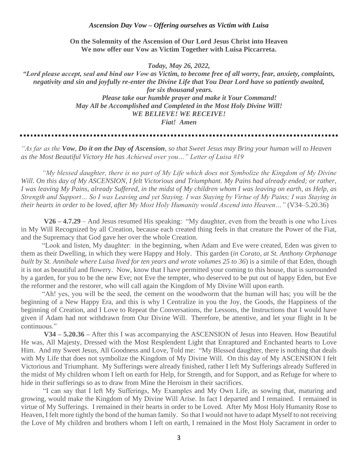#### *Ascension Day Vow – Offering ourselves as Victim with Luisa*

**On the Solemnity of the Ascension of Our Lord Jesus Christ into Heaven We now offer our Vow as Victim Together with Luisa Piccarreta.**

*Today, May 26, 2022,* 

*"Lord please accept, seal and bind our Vow as Victim, to become free of all worry, fear, anxiety, complaints, negativity and sin and joyfully re-enter the Divine Life that You Dear Lord have so patiently awaited, for six thousand years. Please take our humble prayer and make it Your Command! May All be Accomplished and Completed in the Most Holy Divine Will! WE BELIEVE! WE RECEIVE! Fiat! Amen*

*"As far as the Vow, Do it on the Day of Ascension, so that Sweet Jesus may Bring your human will to Heaven as the Most Beautiful Victory He has Achieved over you…" Letter of Luisa #19*

*"My blessed daughter, there is no part of My Life which does not Symbolize the Kingdom of My Divine*  Will. On this day of My ASCENSION, I felt Victorious and Triumphant. My Pains had already ended; or rather, *I was leaving My Pains, already Suffered, in the midst of My children whom I was leaving on earth, as Help, as Strength and Support… So I was Leaving and yet Staying. I was Staying by Virtue of My Pains; I was Staying in their hearts in order to be loved, after My Most Holy Humanity would Ascend into Heaven…"* (V34–5.20.36)

**V26 – 4.7.29** – And Jesus resumed His speaking: "My daughter, even from the breath is one who Lives in My Will Recognized by all Creation, because each created thing feels in that creature the Power of the Fiat, and the Supremacy that God gave her over the whole Creation.

"Look and listen, My daughter: in the beginning, when Adam and Eve were created, Eden was given to them as their Dwelling, in which they were Happy and Holy. This garden (*in Corato, at St. Anthony Orphanage built by St. Annibale where Luisa lived for ten years and wrote volumes 25 to 36*) is a simile of that Eden, though it is not as beautiful and flowery. Now, know that I have permitted your coming to this house, that is surrounded by a garden, for you to be the new Eve; not Eve the tempter, who deserved to be put out of happy Eden, but Eve the reformer and the restorer, who will call again the Kingdom of My Divine Will upon earth.

"Ah! yes, you will be the seed, the cement on the woodworm that the human will has; you will be the beginning of a New Happy Era, and this is why I Centralize in you the Joy, the Goods, the Happiness of the beginning of Creation, and I Love to Repeat the Conversations, the Lessons, the Instructions that I would have given if Adam had not withdrawn from Our Divine Will. Therefore, be attentive, and let your flight in It be continuous."

**V34 – 5.20.36 –** After this I was accompanying the ASCENSION of Jesus into Heaven. How Beautiful He was, All Majesty, Dressed with the Most Resplendent Light that Enraptured and Enchanted hearts to Love Him. And my Sweet Jesus, All Goodness and Love, Told me: "My Blessed daughter, there is nothing that deals with My Life that does not symbolize the Kingdom of My Divine Will. On this day of My ASCENSION I felt Victorious and Triumphant. My Sufferings were already finished, rather I left My Sufferings already Suffered in the midst of My children whom I left on earth for Help, for Strength, and for Support, and as Refuge for where to hide in their sufferings so as to draw from Mine the Heroism in their sacrifices.

 "I can say that I left My Sufferings, My Examples and My Own Life, as sowing that, maturing and growing, would make the Kingdom of My Divine Will Arise. In fact I departed and I remained. I remained in virtue of My Sufferings. I remained in their hearts in order to be Loved. After My Most Holy Humanity Rose to Heaven, I felt more tightly the bond of the human family. So that I would not have to adapt Myself to not receiving the Love of My children and brothers whom I left on earth, I remained in the Most Holy Sacrament in order to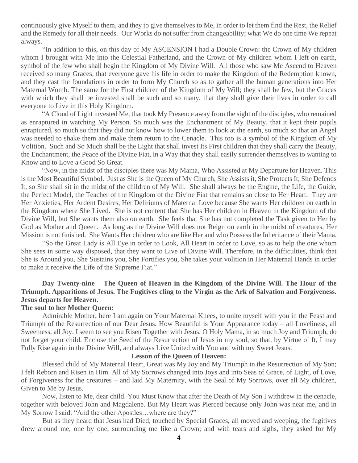continuously give Myself to them, and they to give themselves to Me, in order to let them find the Rest, the Relief and the Remedy for all their needs. Our Works do not suffer from changeability; what We do one time We repeat always.

 "In addition to this, on this day of My ASCENSION I had a Double Crown: the Crown of My children whom I brought with Me into the Celestial Fatherland, and the Crown of My children whom I left on earth, symbol of the few who shall begin the Kingdom of My Divine Will. All those who saw Me Ascend to Heaven received so many Graces, that everyone gave his life in order to make the Kingdom of the Redemption known, and they cast the foundations in order to form My Church so as to gather all the human generations into Her Maternal Womb. The same for the First children of the Kingdom of My Will; they shall be few, but the Graces with which they shall be invested shall be such and so many, that they shall give their lives in order to call everyone to Live in this Holy Kingdom.

 "A Cloud of Light invested Me, that took My Presence away from the sight of the disciples, who remained as enraptured in watching My Person. So much was the Enchantment of My Beauty, that it kept their pupils enraptured, so much so that they did not know how to lower them to look at the earth, so much so that an Angel was needed to shake them and make them return to the Cenacle. This too is a symbol of the Kingdom of My Volition. Such and So Much shall be the Light that shall invest Its First children that they shall carry the Beauty, the Enchantment, the Peace of the Divine Fiat, in a Way that they shall easily surrender themselves to wanting to Know and to Love a Good So Great.

 "Now, in the midst of the disciples there was My Mama, Who Assisted at My Departure for Heaven. This is the Most Beautiful Symbol. Just as She is the Queen of My Church, She Assists it, She Protects It, She Defends It, so She shall sit in the midst of the children of My Will. She shall always be the Engine, the Life, the Guide, the Perfect Model, the Teacher of the Kingdom of the Divine Fiat that remains so close to Her Heart. They are Her Anxieties, Her Ardent Desires, Her Deliriums of Maternal Love because She wants Her children on earth in the Kingdom where She Lived. She is not content that She has Her children in Heaven in the Kingdom of the Divine Will, but She wants them also on earth. She feels that She has not completed the Task given to Her by God as Mother and Queen. As long as the Divine Will does not Reign on earth in the midst of creatures, Her Mission is not finished. She Wants Her children who are like Her and who Possess the Inheritance of their Mama.

 "So the Great Lady is All Eye in order to Look, All Heart in order to Love, so as to help the one whom She sees in some way disposed, that they want to Live of Divine Will. Therefore, in the difficulties, think that She is Around you, She Sustains you, She Fortifies you, She takes your volition in Her Maternal Hands in order to make it receive the Life of the Supreme Fiat."

# **Day Twenty-nine – The Queen of Heaven in the Kingdom of the Divine Will. The Hour of the Triumph. Apparitions of Jesus. The Fugitives cling to the Virgin as the Ark of Salvation and Forgiveness. Jesus departs for Heaven.**

#### **The soul to her Mother Queen:**

 Admirable Mother, here I am again on Your Maternal Knees, to unite myself with you in the Feast and Triumph of the Resurrection of our Dear Jesus. How Beautiful is Your Appearance today – all Loveliness, all Sweetness, all Joy. I seem to see you Risen Together with Jesus. O Holy Mama, in so much Joy and Triumph, do not forget your child. Enclose the Seed of the Resurrection of Jesus in my soul, so that, by Virtue of It, I may Fully Rise again in the Divine Will, and always Live United with You and with my Sweet Jesus.

#### **Lesson of the Queen of Heaven:**

 Blessed child of My Maternal Heart, Great was My Joy and My Triumph in the Resurrection of My Son; I felt Reborn and Risen in Him. All of My Sorrows changed into Joys and into Seas of Grace, of Light, of Love, of Forgiveness for the creatures – and laid My Maternity, with the Seal of My Sorrows, over all My children, Given to Me by Jesus.

 Now, listen to Me, dear child. You Must Know that after the Death of My Son I withdrew in the cenacle, together with beloved John and Magdalene. But My Heart was Pierced because only John was near me, and in My Sorrow I said: "And the other Apostles…where are they?"

 But as they heard that Jesus had Died, touched by Special Graces, all moved and weeping, the fugitives drew around me, one by one, surrounding me like a Crown; and with tears and sighs, they asked for My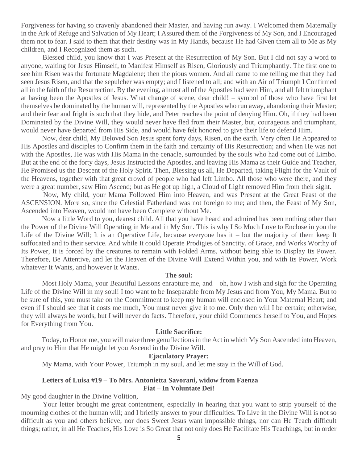Forgiveness for having so cravenly abandoned their Master, and having run away. I Welcomed them Maternally in the Ark of Refuge and Salvation of My Heart; I Assured them of the Forgiveness of My Son, and I Encouraged them not to fear. I said to them that their destiny was in My Hands, because He had Given them all to Me as My children, and I Recognized them as such.

 Blessed child, you know that I was Present at the Resurrection of My Son. But I did not say a word to anyone, waiting for Jesus Himself, to Manifest Himself as Risen, Gloriously and Triumphantly. The first one to see him Risen was the fortunate Magdalene; then the pious women. And all came to me telling me that they had seen Jesus Risen, and that the sepulcher was empty; and I listened to all; and with an Air of Triumph I Confirmed all in the faith of the Resurrection. By the evening, almost all of the Apostles had seen Him, and all felt triumphant at having been the Apostles of Jesus. What change of scene, dear child! – symbol of those who have first let themselves be dominated by the human will, represented by the Apostles who run away, abandoning their Master; and their fear and fright is such that they hide, and Peter reaches the point of denying Him. Oh, if they had been Dominated by the Divine Will, they would never have fled from their Master, but, courageous and triumphant, would never have departed from His Side, and would have felt honored to give their life to defend Him.

 Now, dear child, My Beloved Son Jesus spent forty days, Risen, on the earth. Very often He Appeared to His Apostles and disciples to Confirm them in the faith and certainty of His Resurrection; and when He was not with the Apostles, He was with His Mama in the cenacle, surrounded by the souls who had come out of Limbo. But at the end of the forty days, Jesus Instructed the Apostles, and leaving His Mama as their Guide and Teacher, He Promised us the Descent of the Holy Spirit. Then, Blessing us all, He Departed, taking Flight for the Vault of the Heavens, together with that great crowd of people who had left Limbo. All those who were there, and they were a great number, saw Him Ascend; but as He got up high, a Cloud of Light removed Him from their sight.

 Now, My child, your Mama Followed Him into Heaven, and was Present at the Great Feast of the ASCENSION. More so, since the Celestial Fatherland was not foreign to me; and then, the Feast of My Son, Ascended into Heaven, would not have been Complete without Me.

 Now a little Word to you, dearest child. All that you have heard and admired has been nothing other than the Power of the Divine Will Operating in Me and in My Son. This is why I So Much Love to Enclose in you the Life of the Divine Will; It is an Operative Life, because everyone has it – but the majority of them keep It suffocated and to their service. And while It could Operate Prodigies of Sanctity, of Grace, and Works Worthy of Its Power, It is forced by the creatures to remain with Folded Arms, without being able to Display Its Power. Therefore, Be Attentive, and let the Heaven of the Divine Will Extend Within you, and with Its Power, Work whatever It Wants, and however It Wants.

#### **The soul:**

 Most Holy Mama, your Beautiful Lessons enrapture me, and – oh, how I wish and sigh for the Operating Life of the Divine Will in my soul! I too want to be Inseparable from My Jesus and from You, My Mama. But to be sure of this, you must take on the Commitment to keep my human will enclosed in Your Maternal Heart; and even if I should see that it costs me much, You must never give it to me. Only then will I be certain; otherwise, they will always be words, but I will never do facts. Therefore, your child Commends herself to You, and Hopes for Everything from You.

#### **Little Sacrifice:**

 Today, to Honor me, you will make three genuflections in the Act in which My Son Ascended into Heaven, and pray to Him that He might let you Ascend in the Divine Will.

#### **Ejaculatory Prayer:**

My Mama, with Your Power, Triumph in my soul, and let me stay in the Will of God.

## **Letters of Luisa #19 – To Mrs. Antonietta Savorani, widow from Faenza Fiat – In Voluntate Dei!**

My good daughter in the Divine Volition,

 Your letter brought me great contentment, especially in hearing that you want to strip yourself of the mourning clothes of the human will; and I briefly answer to your difficulties. To Live in the Divine Will is not so difficult as you and others believe, nor does Sweet Jesus want impossible things, nor can He Teach difficult things; rather, in all He Teaches, His Love is So Great that not only does He Facilitate His Teachings, but in order